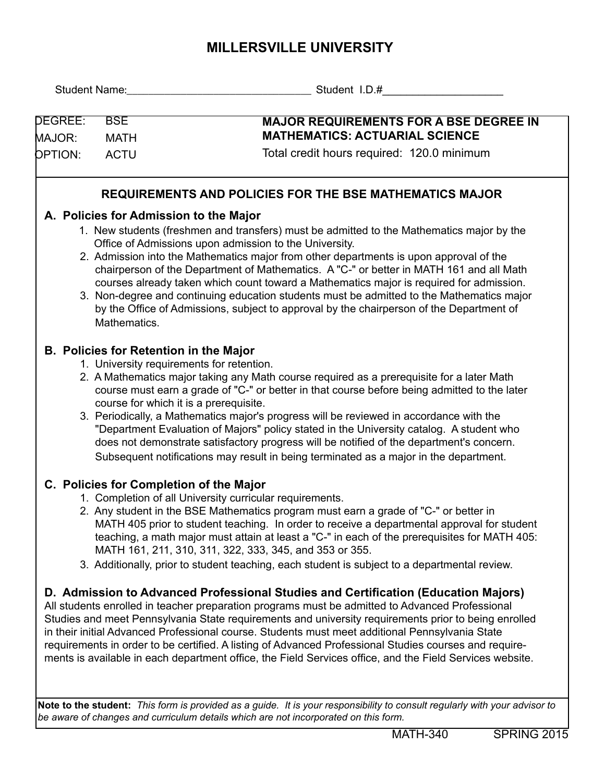## **MILLERSVILLE UNIVERSITY**

| <b>MAJOR REQUIREMENTS FOR A BSE DEGREE IN</b><br><b>MATHEMATICS: ACTUARIAL SCIENCE</b><br>Total credit hours required: 120.0 minimum<br><b>REQUIREMENTS AND POLICIES FOR THE BSE MATHEMATICS MAJOR</b>                                                                                                                                                                                                                                                                                                                                                                                                                 |
|------------------------------------------------------------------------------------------------------------------------------------------------------------------------------------------------------------------------------------------------------------------------------------------------------------------------------------------------------------------------------------------------------------------------------------------------------------------------------------------------------------------------------------------------------------------------------------------------------------------------|
|                                                                                                                                                                                                                                                                                                                                                                                                                                                                                                                                                                                                                        |
|                                                                                                                                                                                                                                                                                                                                                                                                                                                                                                                                                                                                                        |
|                                                                                                                                                                                                                                                                                                                                                                                                                                                                                                                                                                                                                        |
|                                                                                                                                                                                                                                                                                                                                                                                                                                                                                                                                                                                                                        |
|                                                                                                                                                                                                                                                                                                                                                                                                                                                                                                                                                                                                                        |
| 1. New students (freshmen and transfers) must be admitted to the Mathematics major by the<br>2. Admission into the Mathematics major from other departments is upon approval of the<br>chairperson of the Department of Mathematics. A "C-" or better in MATH 161 and all Math<br>courses already taken which count toward a Mathematics major is required for admission.<br>3. Non-degree and continuing education students must be admitted to the Mathematics major<br>by the Office of Admissions, subject to approval by the chairperson of the Department of                                                     |
|                                                                                                                                                                                                                                                                                                                                                                                                                                                                                                                                                                                                                        |
| 2. A Mathematics major taking any Math course required as a prerequisite for a later Math<br>course must earn a grade of "C-" or better in that course before being admitted to the later<br>3. Periodically, a Mathematics major's progress will be reviewed in accordance with the<br>"Department Evaluation of Majors" policy stated in the University catalog. A student who<br>does not demonstrate satisfactory progress will be notified of the department's concern.<br>Subsequent notifications may result in being terminated as a major in the department.                                                  |
|                                                                                                                                                                                                                                                                                                                                                                                                                                                                                                                                                                                                                        |
| 2. Any student in the BSE Mathematics program must earn a grade of "C-" or better in<br>MATH 405 prior to student teaching. In order to receive a departmental approval for student<br>teaching, a math major must attain at least a "C-" in each of the prerequisites for MATH 405:<br>3. Additionally, prior to student teaching, each student is subject to a departmental review.                                                                                                                                                                                                                                  |
|                                                                                                                                                                                                                                                                                                                                                                                                                                                                                                                                                                                                                        |
| D. Admission to Advanced Professional Studies and Certification (Education Majors)<br>All students enrolled in teacher preparation programs must be admitted to Advanced Professional<br>Studies and meet Pennsylvania State requirements and university requirements prior to being enrolled<br>in their initial Advanced Professional course. Students must meet additional Pennsylvania State<br>requirements in order to be certified. A listing of Advanced Professional Studies courses and require-<br>ments is available in each department office, the Field Services office, and the Field Services website. |
| MATH 161, 211, 310, 311, 322, 333, 345, and 353 or 355.<br>Note to the student: This form is provided as a guide. It is your responsibility to consult regularly with your advisor to<br>be aware of changes and curriculum details which are not incorporated on this form.                                                                                                                                                                                                                                                                                                                                           |